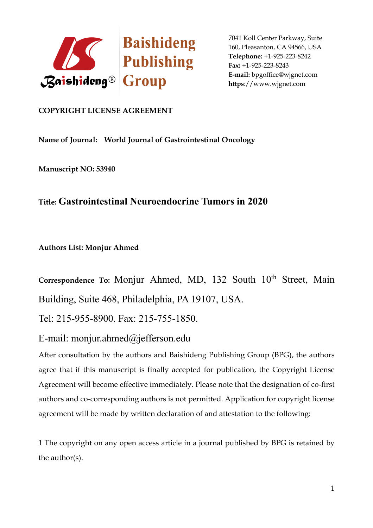

## **COPYRIGHT LICENSE AGREEMENT**

**Name of Journal: World Journal of Gastrointestinal Oncology**

**Manuscript NO: 53940**

## **Title: Gastrointestinal Neuroendocrine Tumors in 2020**

**Authors List: Monjur Ahmed**

Correspondence To: Monjur Ahmed, MD, 132 South 10<sup>th</sup> Street, Main Building, Suite 468, Philadelphia, PA 19107, USA.

Tel: 215-955-8900. Fax: 215-755-1850.

E-mail: monjur.ahmed@jefferson.edu

After consultation by the authors and Baishideng Publishing Group (BPG), the authors agree that if this manuscript is finally accepted for publication, the Copyright License Agreement will become effective immediately. Please note that the designation of co-first authors and co-corresponding authors is not permitted. Application for copyright license agreement will be made by written declaration of and attestation to the following:

1 The copyright on any open access article in a journal published by BPG is retained by the author(s).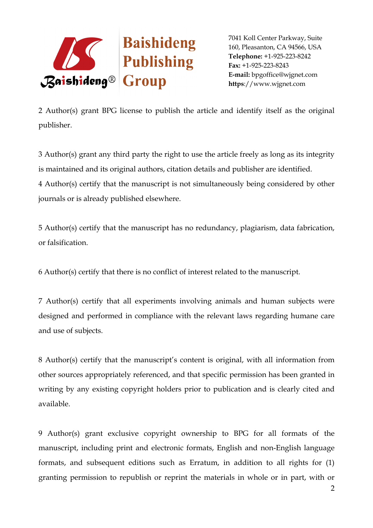

2 Author(s) grant BPG license to publish the article and identify itself as the original publisher.

3 Author(s) grant any third party the right to use the article freely as long as its integrity is maintained and its original authors, citation details and publisher are identified. 4 Author(s) certify that the manuscript is not simultaneously being considered by other journals or is already published elsewhere.

5 Author(s) certify that the manuscript has no redundancy, plagiarism, data fabrication, or falsification.

6 Author(s) certify that there is no conflict of interest related to the manuscript.

7 Author(s) certify that all experiments involving animals and human subjects were designed and performed in compliance with the relevant laws regarding humane care and use of subjects.

8 Author(s) certify that the manuscript's content is original, with all information from other sources appropriately referenced, and that specific permission has been granted in writing by any existing copyright holders prior to publication and is clearly cited and available.

9 Author(s) grant exclusive copyright ownership to BPG for all formats of the manuscript, including print and electronic formats, English and non-English language formats, and subsequent editions such as Erratum, in addition to all rights for (1) granting permission to republish or reprint the materials in whole or in part, with or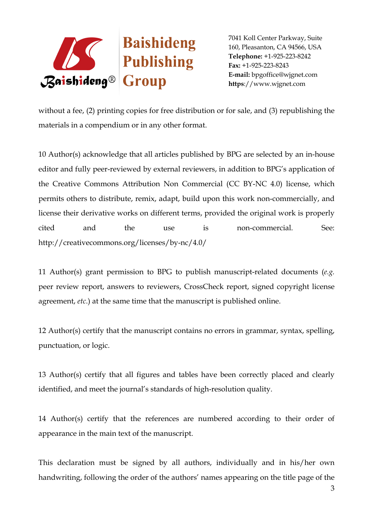

without a fee, (2) printing copies for free distribution or for sale, and (3) republishing the materials in a compendium or in any other format.

10 Author(s) acknowledge that all articles published by BPG are selected by an in-house editor and fully peer-reviewed by external reviewers, in addition to BPG's application of the Creative Commons Attribution Non Commercial (CC BY-NC 4.0) license, which permits others to distribute, remix, adapt, build upon this work non-commercially, and license their derivative works on different terms, provided the original work is properly cited and the use is non-commercial. See: http://creativecommons.org/licenses/by-nc/4.0/

11 Author(s) grant permission to BPG to publish manuscript-related documents (*e.g.* peer review report, answers to reviewers, CrossCheck report, signed copyright license agreement, *etc*.) at the same time that the manuscript is published online.

12 Author(s) certify that the manuscript contains no errors in grammar, syntax, spelling, punctuation, or logic.

13 Author(s) certify that all figures and tables have been correctly placed and clearly identified, and meet the journal's standards of high-resolution quality.

14 Author(s) certify that the references are numbered according to their order of appearance in the main text of the manuscript.

This declaration must be signed by all authors, individually and in his/her own handwriting, following the order of the authors' names appearing on the title page of the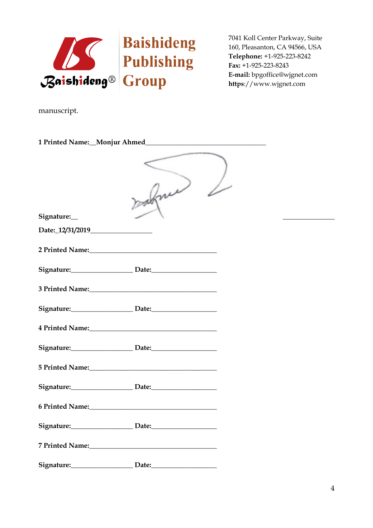

manuscript.

|                                                                                                                | makine |  |  |  |
|----------------------------------------------------------------------------------------------------------------|--------|--|--|--|
| Signature:                                                                                                     |        |  |  |  |
|                                                                                                                |        |  |  |  |
| 2 Printed Name: 10 10 10 10 10 10 10 10 11 12 13 14 15 16 17 18 19 19 10 11 12 12 12 12 12 12 12 13 14 15 16 1 |        |  |  |  |
| Signature: Date: Date:                                                                                         |        |  |  |  |
|                                                                                                                |        |  |  |  |
| Signature: Date: Date:                                                                                         |        |  |  |  |
|                                                                                                                |        |  |  |  |
| Signature: Date: Date:                                                                                         |        |  |  |  |
|                                                                                                                |        |  |  |  |
| Signature: Date: Date:                                                                                         |        |  |  |  |
|                                                                                                                |        |  |  |  |
| Signature: Date: Date:                                                                                         |        |  |  |  |
|                                                                                                                |        |  |  |  |
| Signature: Date: Date:                                                                                         |        |  |  |  |